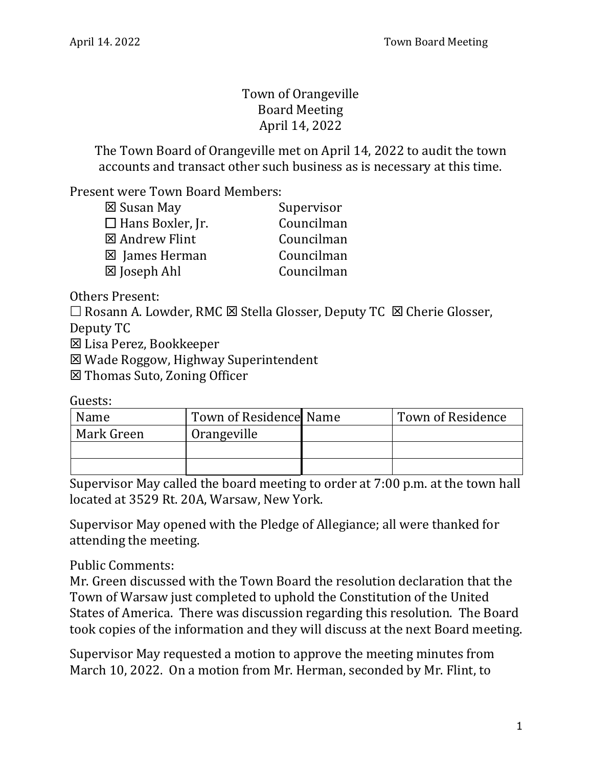## Town of Orangeville Board Meeting April 14, 2022

The Town Board of Orangeville met on April 14, 2022 to audit the town accounts and transact other such business as is necessary at this time.

Present were Town Board Members:

| Supervisor |
|------------|
| Councilman |
| Councilman |
| Councilman |
| Councilman |
|            |

Others Present:

□ Rosann A. Lowder, RMC ⊠ Stella Glosser, Deputy TC ⊠ Cherie Glosser,

Deputy TC

Lisa Perez, Bookkeeper

Wade Roggow, Highway Superintendent

Thomas Suto, Zoning Officer

Guests:

| Name       | Town of Residence Name | Town of Residence |
|------------|------------------------|-------------------|
| Mark Green | ' Orangeville          |                   |
|            |                        |                   |
|            |                        |                   |

Supervisor May called the board meeting to order at 7:00 p.m. at the town hall located at 3529 Rt. 20A, Warsaw, New York.

Supervisor May opened with the Pledge of Allegiance; all were thanked for attending the meeting.

Public Comments:

Mr. Green discussed with the Town Board the resolution declaration that the Town of Warsaw just completed to uphold the Constitution of the United States of America. There was discussion regarding this resolution. The Board took copies of the information and they will discuss at the next Board meeting.

Supervisor May requested a motion to approve the meeting minutes from March 10, 2022. On a motion from Mr. Herman, seconded by Mr. Flint, to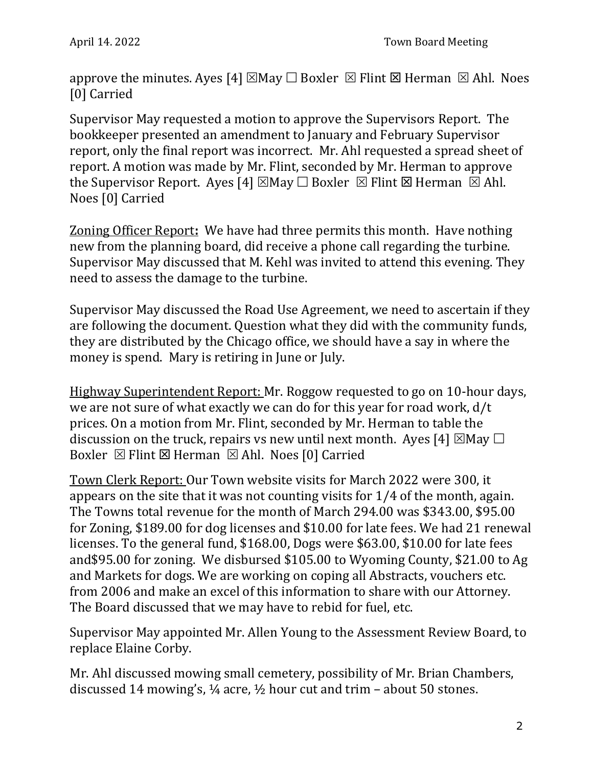approve the minutes. Ayes [4]  $\boxtimes$  May  $\Box$  Boxler  $\boxtimes$  Flint  $\boxtimes$  Herman  $\boxtimes$  Ahl. Noes [0] Carried

Supervisor May requested a motion to approve the Supervisors Report. The bookkeeper presented an amendment to January and February Supervisor report, only the final report was incorrect. Mr. Ahl requested a spread sheet of report. A motion was made by Mr. Flint, seconded by Mr. Herman to approve the Supervisor Report. Ayes [4]  $\boxtimes$  May  $\Box$  Boxler  $\boxtimes$  Flint  $\boxtimes$  Herman  $\boxtimes$  Ahl. Noes [0] Carried

Zoning Officer Report**:** We have had three permits this month. Have nothing new from the planning board, did receive a phone call regarding the turbine. Supervisor May discussed that M. Kehl was invited to attend this evening. They need to assess the damage to the turbine.

Supervisor May discussed the Road Use Agreement, we need to ascertain if they are following the document. Question what they did with the community funds, they are distributed by the Chicago office, we should have a say in where the money is spend. Mary is retiring in June or July.

Highway Superintendent Report: Mr. Roggow requested to go on 10-hour days, we are not sure of what exactly we can do for this year for road work, d/t prices. On a motion from Mr. Flint, seconded by Mr. Herman to table the discussion on the truck, repairs vs new until next month. Ayes [4]  $\boxtimes$  May  $\Box$ Boxler  $\boxtimes$  Flint  $\boxtimes$  Herman  $\boxtimes$  Ahl. Noes [0] Carried

Town Clerk Report: Our Town website visits for March 2022 were 300, it appears on the site that it was not counting visits for 1/4 of the month, again. The Towns total revenue for the month of March 294.00 was \$343.00, \$95.00 for Zoning, \$189.00 for dog licenses and \$10.00 for late fees. We had 21 renewal licenses. To the general fund, \$168.00, Dogs were \$63.00, \$10.00 for late fees and\$95.00 for zoning. We disbursed \$105.00 to Wyoming County, \$21.00 to Ag and Markets for dogs. We are working on coping all Abstracts, vouchers etc. from 2006 and make an excel of this information to share with our Attorney. The Board discussed that we may have to rebid for fuel, etc.

Supervisor May appointed Mr. Allen Young to the Assessment Review Board, to replace Elaine Corby.

Mr. Ahl discussed mowing small cemetery, possibility of Mr. Brian Chambers, discussed 14 mowing's,  $\frac{1}{4}$  acre,  $\frac{1}{2}$  hour cut and trim – about 50 stones.